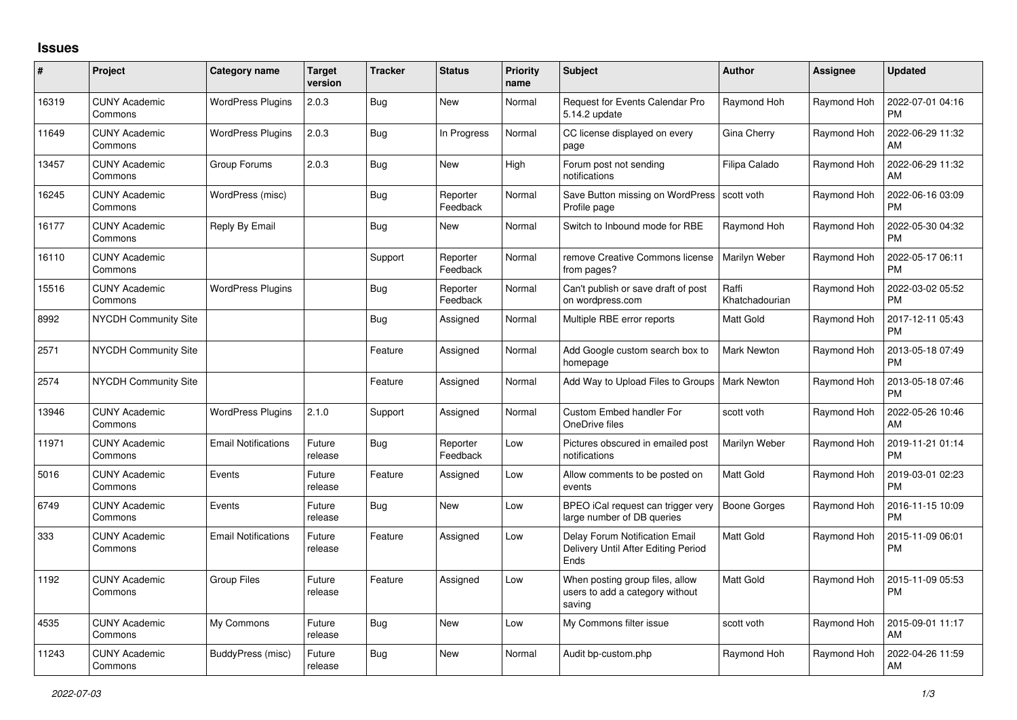## **Issues**

| #     | Project                         | Category name              | <b>Target</b><br>version | <b>Tracker</b> | <b>Status</b>        | <b>Priority</b><br>name | <b>Subject</b>                                                                       | <b>Author</b>           | Assignee    | <b>Updated</b>                |
|-------|---------------------------------|----------------------------|--------------------------|----------------|----------------------|-------------------------|--------------------------------------------------------------------------------------|-------------------------|-------------|-------------------------------|
| 16319 | <b>CUNY Academic</b><br>Commons | <b>WordPress Plugins</b>   | 2.0.3                    | <b>Bug</b>     | <b>New</b>           | Normal                  | Request for Events Calendar Pro<br>5.14.2 update                                     | Raymond Hoh             | Raymond Hoh | 2022-07-01 04:16<br><b>PM</b> |
| 11649 | <b>CUNY Academic</b><br>Commons | <b>WordPress Plugins</b>   | 2.0.3                    | <b>Bug</b>     | In Progress          | Normal                  | CC license displayed on every<br>page                                                | Gina Cherry             | Raymond Hoh | 2022-06-29 11:32<br>AM        |
| 13457 | <b>CUNY Academic</b><br>Commons | Group Forums               | 2.0.3                    | Bug            | <b>New</b>           | High                    | Forum post not sending<br>notifications                                              | Filipa Calado           | Raymond Hoh | 2022-06-29 11:32<br>AM        |
| 16245 | <b>CUNY Academic</b><br>Commons | WordPress (misc)           |                          | <b>Bug</b>     | Reporter<br>Feedback | Normal                  | Save Button missing on WordPress<br>Profile page                                     | scott voth              | Raymond Hoh | 2022-06-16 03:09<br><b>PM</b> |
| 16177 | <b>CUNY Academic</b><br>Commons | Reply By Email             |                          | Bug            | <b>New</b>           | Normal                  | Switch to Inbound mode for RBE                                                       | Raymond Hoh             | Raymond Hoh | 2022-05-30 04:32<br><b>PM</b> |
| 16110 | <b>CUNY Academic</b><br>Commons |                            |                          | Support        | Reporter<br>Feedback | Normal                  | remove Creative Commons license<br>from pages?                                       | Marilyn Weber           | Raymond Hoh | 2022-05-17 06:11<br><b>PM</b> |
| 15516 | <b>CUNY Academic</b><br>Commons | <b>WordPress Plugins</b>   |                          | Bug            | Reporter<br>Feedback | Normal                  | Can't publish or save draft of post<br>on wordpress.com                              | Raffi<br>Khatchadourian | Raymond Hoh | 2022-03-02 05:52<br><b>PM</b> |
| 8992  | <b>NYCDH Community Site</b>     |                            |                          | Bug            | Assigned             | Normal                  | Multiple RBE error reports                                                           | Matt Gold               | Raymond Hoh | 2017-12-11 05:43<br><b>PM</b> |
| 2571  | NYCDH Community Site            |                            |                          | Feature        | Assigned             | Normal                  | Add Google custom search box to<br>homepage                                          | <b>Mark Newton</b>      | Raymond Hoh | 2013-05-18 07:49<br><b>PM</b> |
| 2574  | NYCDH Community Site            |                            |                          | Feature        | Assigned             | Normal                  | Add Way to Upload Files to Groups                                                    | <b>Mark Newton</b>      | Raymond Hoh | 2013-05-18 07:46<br><b>PM</b> |
| 13946 | <b>CUNY Academic</b><br>Commons | <b>WordPress Plugins</b>   | 2.1.0                    | Support        | Assigned             | Normal                  | Custom Embed handler For<br>OneDrive files                                           | scott voth              | Raymond Hoh | 2022-05-26 10:46<br>AM        |
| 11971 | <b>CUNY Academic</b><br>Commons | <b>Email Notifications</b> | Future<br>release        | Bug            | Reporter<br>Feedback | Low                     | Pictures obscured in emailed post<br>notifications                                   | Marilyn Weber           | Raymond Hoh | 2019-11-21 01:14<br><b>PM</b> |
| 5016  | <b>CUNY Academic</b><br>Commons | Events                     | Future<br>release        | Feature        | Assigned             | Low                     | Allow comments to be posted on<br>events                                             | Matt Gold               | Raymond Hoh | 2019-03-01 02:23<br>PM        |
| 6749  | <b>CUNY Academic</b><br>Commons | Events                     | Future<br>release        | <b>Bug</b>     | <b>New</b>           | Low                     | BPEO iCal request can trigger very<br>large number of DB queries                     | Boone Gorges            | Raymond Hoh | 2016-11-15 10:09<br><b>PM</b> |
| 333   | <b>CUNY Academic</b><br>Commons | <b>Email Notifications</b> | Future<br>release        | Feature        | Assigned             | Low                     | <b>Delay Forum Notification Email</b><br>Delivery Until After Editing Period<br>Ends | Matt Gold               | Raymond Hoh | 2015-11-09 06:01<br><b>PM</b> |
| 1192  | <b>CUNY Academic</b><br>Commons | Group Files                | Future<br>release        | Feature        | Assigned             | Low                     | When posting group files, allow<br>users to add a category without<br>saving         | Matt Gold               | Raymond Hoh | 2015-11-09 05:53<br><b>PM</b> |
| 4535  | <b>CUNY Academic</b><br>Commons | My Commons                 | Future<br>release        | Bug            | <b>New</b>           | Low                     | My Commons filter issue                                                              | scott voth              | Raymond Hoh | 2015-09-01 11:17<br>AM        |
| 11243 | <b>CUNY Academic</b><br>Commons | BuddyPress (misc)          | Future<br>release        | Bug            | New                  | Normal                  | Audit bp-custom.php                                                                  | Raymond Hoh             | Raymond Hoh | 2022-04-26 11:59<br>AM        |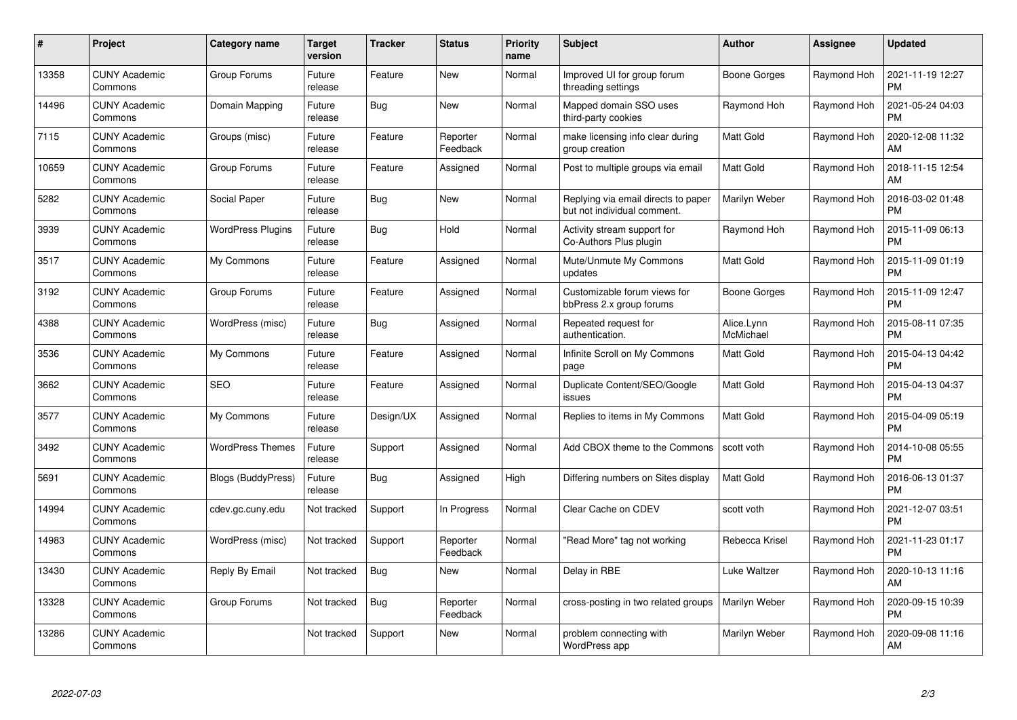| #     | Project                         | Category name            | Target<br>version | <b>Tracker</b> | <b>Status</b>        | <b>Priority</b><br>name | <b>Subject</b>                                                     | <b>Author</b>           | Assignee    | <b>Updated</b>                |
|-------|---------------------------------|--------------------------|-------------------|----------------|----------------------|-------------------------|--------------------------------------------------------------------|-------------------------|-------------|-------------------------------|
| 13358 | <b>CUNY Academic</b><br>Commons | Group Forums             | Future<br>release | Feature        | <b>New</b>           | Normal                  | Improved UI for group forum<br>threading settings                  | Boone Gorges            | Raymond Hoh | 2021-11-19 12:27<br><b>PM</b> |
| 14496 | <b>CUNY Academic</b><br>Commons | Domain Mapping           | Future<br>release | Bug            | <b>New</b>           | Normal                  | Mapped domain SSO uses<br>third-party cookies                      | Raymond Hoh             | Raymond Hoh | 2021-05-24 04:03<br><b>PM</b> |
| 7115  | <b>CUNY Academic</b><br>Commons | Groups (misc)            | Future<br>release | Feature        | Reporter<br>Feedback | Normal                  | make licensing info clear during<br>group creation                 | Matt Gold               | Raymond Hoh | 2020-12-08 11:32<br>AM        |
| 10659 | <b>CUNY Academic</b><br>Commons | Group Forums             | Future<br>release | Feature        | Assigned             | Normal                  | Post to multiple groups via email                                  | Matt Gold               | Raymond Hoh | 2018-11-15 12:54<br>AM        |
| 5282  | <b>CUNY Academic</b><br>Commons | Social Paper             | Future<br>release | <b>Bug</b>     | <b>New</b>           | Normal                  | Replying via email directs to paper<br>but not individual comment. | Marilyn Weber           | Raymond Hoh | 2016-03-02 01:48<br><b>PM</b> |
| 3939  | <b>CUNY Academic</b><br>Commons | <b>WordPress Plugins</b> | Future<br>release | Bug            | Hold                 | Normal                  | Activity stream support for<br>Co-Authors Plus plugin              | Raymond Hoh             | Raymond Hoh | 2015-11-09 06:13<br><b>PM</b> |
| 3517  | <b>CUNY Academic</b><br>Commons | My Commons               | Future<br>release | Feature        | Assigned             | Normal                  | Mute/Unmute My Commons<br>updates                                  | Matt Gold               | Raymond Hoh | 2015-11-09 01:19<br><b>PM</b> |
| 3192  | CUNY Academic<br>Commons        | Group Forums             | Future<br>release | Feature        | Assigned             | Normal                  | Customizable forum views for<br>bbPress 2.x group forums           | Boone Gorges            | Raymond Hoh | 2015-11-09 12:47<br><b>PM</b> |
| 4388  | <b>CUNY Academic</b><br>Commons | WordPress (misc)         | Future<br>release | Bug            | Assigned             | Normal                  | Repeated request for<br>authentication.                            | Alice.Lynn<br>McMichael | Raymond Hoh | 2015-08-11 07:35<br><b>PM</b> |
| 3536  | <b>CUNY Academic</b><br>Commons | My Commons               | Future<br>release | Feature        | Assigned             | Normal                  | Infinite Scroll on My Commons<br>page                              | Matt Gold               | Raymond Hoh | 2015-04-13 04:42<br><b>PM</b> |
| 3662  | <b>CUNY Academic</b><br>Commons | <b>SEO</b>               | Future<br>release | Feature        | Assigned             | Normal                  | Duplicate Content/SEO/Google<br>issues                             | Matt Gold               | Raymond Hoh | 2015-04-13 04:37<br><b>PM</b> |
| 3577  | <b>CUNY Academic</b><br>Commons | My Commons               | Future<br>release | Design/UX      | Assigned             | Normal                  | Replies to items in My Commons                                     | Matt Gold               | Raymond Hoh | 2015-04-09 05:19<br><b>PM</b> |
| 3492  | <b>CUNY Academic</b><br>Commons | <b>WordPress Themes</b>  | Future<br>release | Support        | Assigned             | Normal                  | Add CBOX theme to the Commons                                      | scott voth              | Raymond Hoh | 2014-10-08 05:55<br><b>PM</b> |
| 5691  | <b>CUNY Academic</b><br>Commons | Blogs (BuddyPress)       | Future<br>release | Bug            | Assigned             | High                    | Differing numbers on Sites display                                 | Matt Gold               | Raymond Hoh | 2016-06-13 01:37<br><b>PM</b> |
| 14994 | <b>CUNY Academic</b><br>Commons | cdev.gc.cuny.edu         | Not tracked       | Support        | In Progress          | Normal                  | Clear Cache on CDEV                                                | scott voth              | Raymond Hoh | 2021-12-07 03:51<br><b>PM</b> |
| 14983 | <b>CUNY Academic</b><br>Commons | WordPress (misc)         | Not tracked       | Support        | Reporter<br>Feedback | Normal                  | 'Read More" tag not working                                        | Rebecca Krisel          | Raymond Hoh | 2021-11-23 01:17<br><b>PM</b> |
| 13430 | <b>CUNY Academic</b><br>Commons | Reply By Email           | Not tracked       | Bug            | <b>New</b>           | Normal                  | Delay in RBE                                                       | Luke Waltzer            | Raymond Hoh | 2020-10-13 11:16<br>AM        |
| 13328 | <b>CUNY Academic</b><br>Commons | Group Forums             | Not tracked       | Bug            | Reporter<br>Feedback | Normal                  | cross-posting in two related groups                                | Marilyn Weber           | Raymond Hoh | 2020-09-15 10:39<br><b>PM</b> |
| 13286 | <b>CUNY Academic</b><br>Commons |                          | Not tracked       | Support        | <b>New</b>           | Normal                  | problem connecting with<br>WordPress app                           | Marilyn Weber           | Raymond Hoh | 2020-09-08 11:16<br>AM        |